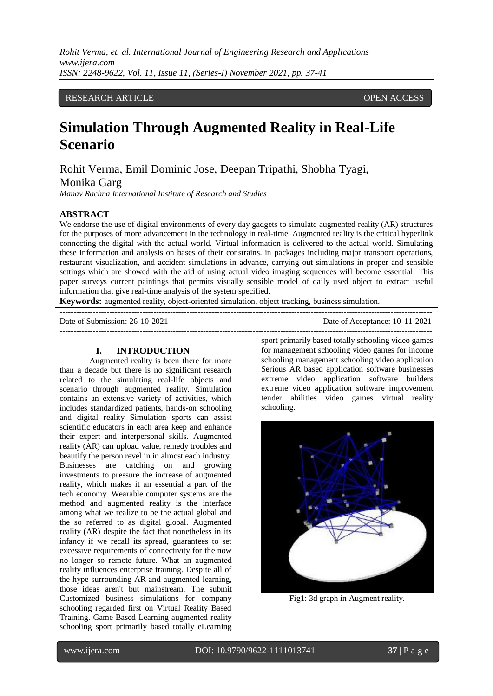*Rohit Verma, et. al. International Journal of Engineering Research and Applications www.ijera.com ISSN: 2248-9622, Vol. 11, Issue 11, (Series-I) November 2021, pp. 37-41*

# RESEARCH ARTICLE **CONTRACT ARTICLE** AND A SERVICE OPEN ACCESS OPEN ACCESS

# **Simulation Through Augmented Reality in Real-Life Scenario**

Rohit Verma, Emil Dominic Jose, Deepan Tripathi, Shobha Tyagi,

Monika Garg

*Manav Rachna International Institute of Research and Studies*

# **ABSTRACT**

We endorse the use of digital environments of every day gadgets to simulate augmented reality (AR) structures for the purposes of more advancement in the technology in real-time. Augmented reality is the critical hyperlink connecting the digital with the actual world. Virtual information is delivered to the actual world. Simulating these information and analysis on bases of their constrains. in packages including major transport operations, restaurant visualization, and accident simulations in advance, carrying out simulations in proper and sensible settings which are showed with the aid of using actual video imaging sequences will become essential. This paper surveys current paintings that permits visually sensible model of daily used object to extract useful information that give real-time analysis of the system specified.

---------------------------------------------------------------------------------------------------------------------------------------

---------------------------------------------------------------------------------------------------------------------------------------

**Keywords:** augmented reality, object-oriented simulation, object tracking, business simulation.

Date of Submission: 26-10-2021 Date of Acceptance: 10-11-2021

#### **I. INTRODUCTION**

Augmented reality is been there for more than a decade but there is no significant research related to the simulating real-life objects and scenario through augmented reality. Simulation contains an extensive variety of activities, which includes standardized patients, hands-on schooling and digital reality Simulation sports can assist scientific educators in each area keep and enhance their expert and interpersonal skills. Augmented reality (AR) can upload value, remedy troubles and beautify the person revel in in almost each industry. Businesses are catching on and growing investments to pressure the increase of augmented reality, which makes it an essential a part of the tech economy. Wearable computer systems are the method and augmented reality is the interface among what we realize to be the actual global and the so referred to as digital global. Augmented reality (AR) despite the fact that nonetheless in its infancy if we recall its spread, guarantees to set excessive requirements of connectivity for the now no longer so remote future. What an augmented reality influences enterprise training. Despite all of the hype surrounding AR and augmented learning, those ideas aren't but mainstream. The submit Customized business simulations for company schooling regarded first on Virtual Reality Based Training. Game Based Learning augmented reality schooling sport primarily based totally eLearning

sport primarily based totally schooling video games for management schooling video games for income schooling management schooling video application Serious AR based application software businesses extreme video application software builders extreme video application software improvement tender abilities video games virtual reality schooling.



Fig1: 3d graph in Augment reality.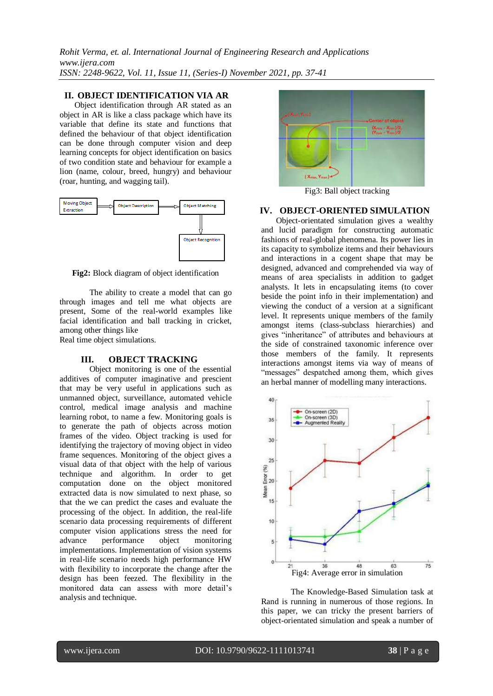*Rohit Verma, et. al. International Journal of Engineering Research and Applications www.ijera.com ISSN: 2248-9622, Vol. 11, Issue 11, (Series-I) November 2021, pp. 37-41*

## **II. OBJECT IDENTIFICATION VIA AR**

Object identification through AR stated as an object in AR is like a class package which have its variable that define its state and functions that defined the behaviour of that object identification can be done through computer vision and deep learning concepts for object identification on basics of two condition state and behaviour for example a lion (name, colour, breed, hungry) and behaviour (roar, hunting, and wagging tail).



**Fig2:** Block diagram of object identification

The ability to create a model that can go through images and tell me what objects are present, Some of the real-world examples like facial identification and ball tracking in cricket, among other things like

Real time object simulations.

#### **III. OBJECT TRACKING**

Object monitoring is one of the essential additives of computer imaginative and prescient that may be very useful in applications such as unmanned object, surveillance, automated vehicle control, medical image analysis and machine learning robot, to name a few. Monitoring goals is to generate the path of objects across motion frames of the video. Object tracking is used for identifying the trajectory of moving object in video frame sequences. Monitoring of the object gives a visual data of that object with the help of various technique and algorithm. In order to get computation done on the object monitored extracted data is now simulated to next phase, so that the we can predict the cases and evaluate the processing of the object. In addition, the real-life scenario data processing requirements of different computer vision applications stress the need for advance performance object monitoring implementations. Implementation of vision systems in real-life scenario needs high performance HW with flexibility to incorporate the change after the design has been feezed. The flexibility in the monitored data can assess with more detail's analysis and technique.



Fig3: Ball object tracking

#### **IV. OBJECT-ORIENTED SIMULATION**

Object-orientated simulation gives a wealthy and lucid paradigm for constructing automatic fashions of real-global phenomena. Its power lies in its capacity to symbolize items and their behaviours and interactions in a cogent shape that may be designed, advanced and comprehended via way of means of area specialists in addition to gadget analysts. It lets in encapsulating items (to cover beside the point info in their implementation) and viewing the conduct of a version at a significant level. It represents unique members of the family amongst items (class-subclass hierarchies) and gives "inheritance" of attributes and behaviours at the side of constrained taxonomic inference over those members of the family. It represents interactions amongst items via way of means of "messages" despatched among them, which gives an herbal manner of modelling many interactions.



The Knowledge-Based Simulation task at Rand is running in numerous of those regions. In this paper, we can tricky the present barriers of object-orientated simulation and speak a number of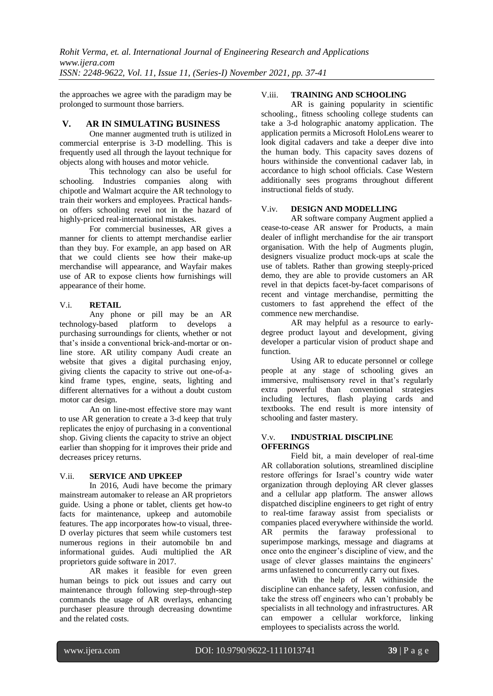the approaches we agree with the paradigm may be prolonged to surmount those barriers.

## **V. AR IN SIMULATING BUSINESS**

One manner augmented truth is utilized in commercial enterprise is 3-D modelling. This is frequently used all through the layout technique for objects along with houses and motor vehicle.

This technology can also be useful for schooling. Industries companies along with chipotle and Walmart acquire the AR technology to train their workers and employees. Practical handson offers schooling revel not in the hazard of highly-priced real-international mistakes.

For commercial businesses, AR gives a manner for clients to attempt merchandise earlier than they buy. For example, an app based on AR that we could clients see how their make-up merchandise will appearance, and Wayfair makes use of AR to expose clients how furnishings will appearance of their home.

# V.i. **RETAIL**

Any phone or pill may be an AR technology-based platform to develops a purchasing surroundings for clients, whether or not that's inside a conventional brick-and-mortar or online store. AR utility company Audi create an website that gives a digital purchasing enjoy, giving clients the capacity to strive out one-of-akind frame types, engine, seats, lighting and different alternatives for a without a doubt custom motor car design.

An on line-most effective store may want to use AR generation to create a 3-d keep that truly replicates the enjoy of purchasing in a conventional shop. Giving clients the capacity to strive an object earlier than shopping for it improves their pride and decreases pricey returns.

# V.ii. **SERVICE AND UPKEEP**

In 2016, Audi have become the primary mainstream automaker to release an AR proprietors guide. Using a phone or tablet, clients get how-to facts for maintenance, upkeep and automobile features. The app incorporates how-to visual, three-D overlay pictures that seem while customers test numerous regions in their automobile bn and informational guides. Audi multiplied the AR proprietors guide software in 2017.

AR makes it feasible for even green human beings to pick out issues and carry out maintenance through following step-through-step commands the usage of AR overlays, enhancing purchaser pleasure through decreasing downtime and the related costs.

# V.iii. **TRAINING AND SCHOOLING**

AR is gaining popularity in scientific schooling., fitness schooling college students can take a 3-d holographic anatomy application. The application permits a Microsoft HoloLens wearer to look digital cadavers and take a deeper dive into the human body. This capacity saves dozens of hours withinside the conventional cadaver lab, in accordance to high school officials. Case Western additionally sees programs throughout different instructional fields of study.

## V.iv. **DESIGN AND MODELLING**

AR software company Augment applied a cease-to-cease AR answer for Products, a main dealer of inflight merchandise for the air transport organisation. With the help of Augments plugin, designers visualize product mock-ups at scale the use of tablets. Rather than growing steeply-priced demo, they are able to provide customers an AR revel in that depicts facet-by-facet comparisons of recent and vintage merchandise, permitting the customers to fast apprehend the effect of the commence new merchandise.

AR may helpful as a resource to earlydegree product layout and development, giving developer a particular vision of product shape and function.

Using AR to educate personnel or college people at any stage of schooling gives an immersive, multisensory revel in that's regularly extra powerful than conventional strategies including lectures, flash playing cards and textbooks. The end result is more intensity of schooling and faster mastery.

#### V.v. **INDUSTRIAL DISCIPLINE OFFERINGS**

Field bit, a main developer of real-time AR collaboration solutions, streamlined discipline restore offerings for Israel's country wide water organization through deploying AR clever glasses and a cellular app platform. The answer allows dispatched discipline engineers to get right of entry to real-time faraway assist from specialists or companies placed everywhere withinside the world. AR permits the faraway professional to superimpose markings, message and diagrams at once onto the engineer's discipline of view, and the usage of clever glasses maintains the engineers' arms unfastened to concurrently carry out fixes.

With the help of AR withinside the discipline can enhance safety, lessen confusion, and take the stress off engineers who can't probably be specialists in all technology and infrastructures. AR can empower a cellular workforce, linking employees to specialists across the world.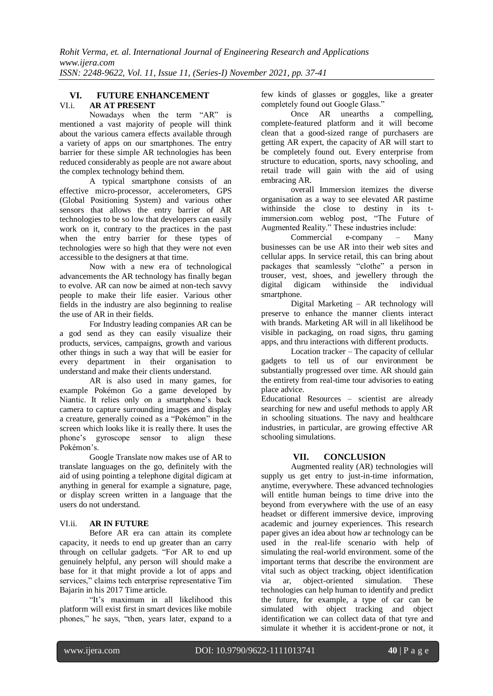### **VI. FUTURE ENHANCEMENT** VI.i. **AR AT PRESENT**

Nowadays when the term "AR" is mentioned a vast majority of people will think about the various camera effects available through a variety of apps on our smartphones. The entry barrier for these simple AR technologies has been reduced considerably as people are not aware about the complex technology behind them.

A typical smartphone consists of an effective micro-processor, accelerometers, GPS (Global Positioning System) and various other sensors that allows the entry barrier of AR technologies to be so low that developers can easily work on it, contrary to the practices in the past when the entry barrier for these types of technologies were so high that they were not even accessible to the designers at that time.

Now with a new era of technological advancements the AR technology has finally began to evolve. AR can now be aimed at non-tech savvy people to make their life easier. Various other fields in the industry are also beginning to realise the use of AR in their fields.

For Industry leading companies AR can be a god send as they can easily visualize their products, services, campaigns, growth and various other things in such a way that will be easier for every department in their organisation to understand and make their clients understand.

AR is also used in many games, for example Pokémon Go a game developed by Niantic. It relies only on a smartphone's back camera to capture surrounding images and display a creature, generally coined as a "Pokémon" in the screen which looks like it is really there. It uses the phone's gyroscope sensor to align these Pokémon's.

Google Translate now makes use of AR to translate languages on the go, definitely with the aid of using pointing a telephone digital digicam at anything in general for example a signature, page, or display screen written in a language that the users do not understand.

# VI.ii. **AR IN FUTURE**

Before AR era can attain its complete capacity, it needs to end up greater than an carry through on cellular gadgets. "For AR to end up genuinely helpful, any person will should make a base for it that might provide a lot of apps and services," claims tech enterprise representative Tim Bajarin in his 2017 Time article.

"It's maximum in all likelihood this platform will exist first in smart devices like mobile phones," he says, "then, years later, expand to a few kinds of glasses or goggles, like a greater completely found out Google Glass."

Once AR unearths a compelling, complete-featured platform and it will become clean that a good-sized range of purchasers are getting AR expert, the capacity of AR will start to be completely found out. Every enterprise from structure to education, sports, navy schooling, and retail trade will gain with the aid of using embracing AR.

overall Immersion itemizes the diverse organisation as a way to see elevated AR pastime withinside the close to destiny in its timmersion.com weblog post, "The Future of Augmented Reality." These industries include:

Commercial e-company – Many businesses can be use AR into their web sites and cellular apps. In service retail, this can bring about packages that seamlessly "clothe" a person in trouser, vest, shoes, and jewellery through the digital digicam withinside the individual smartphone.

Digital Marketing – AR technology will preserve to enhance the manner clients interact with brands. Marketing AR will in all likelihood be visible in packaging, on road signs, thru gaming apps, and thru interactions with different products.

Location tracker – The capacity of cellular gadgets to tell us of our environment be substantially progressed over time. AR should gain the entirety from real-time tour advisories to eating place advice.

Educational Resources – scientist are already searching for new and useful methods to apply AR in schooling situations. The navy and healthcare industries, in particular, are growing effective AR schooling simulations.

# **VII. CONCLUSION**

Augmented reality (AR) technologies will supply us get entry to just-in-time information. anytime, everywhere. These advanced technologies will entitle human beings to time drive into the beyond from everywhere with the use of an easy headset or different immersive device, improving academic and journey experiences. This research paper gives an idea about how ar technology can be used in the real-life scenario with help of simulating the real-world environment. some of the important terms that describe the environment are vital such as object tracking, object identification via ar, object-oriented simulation. These technologies can help human to identify and predict the future, for example, a type of car can be simulated with object tracking and object identification we can collect data of that tyre and simulate it whether it is accident-prone or not, it